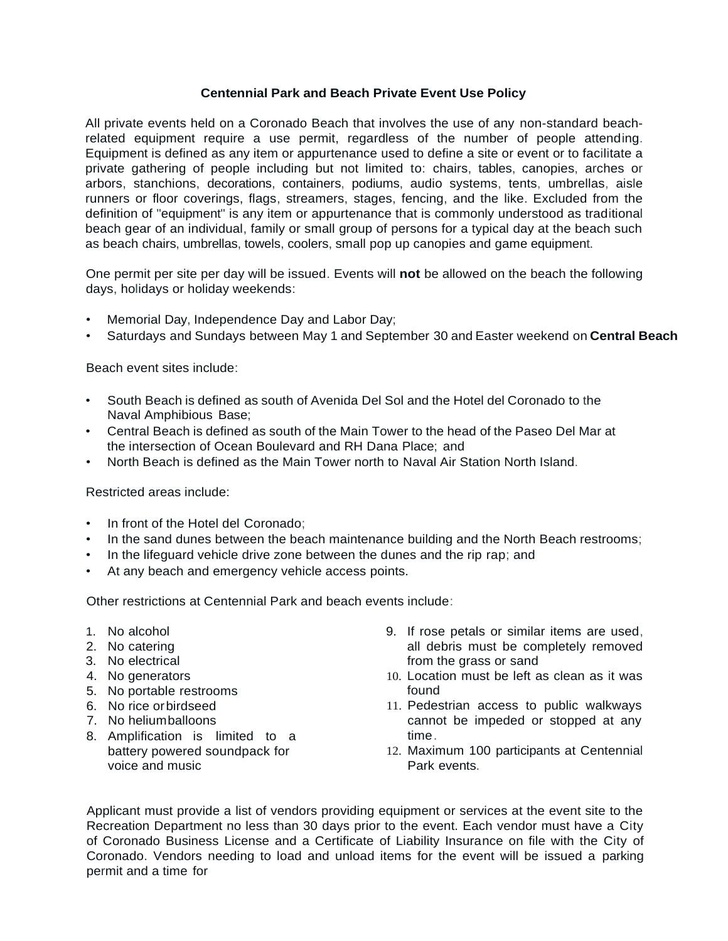## **Centennial Park and Beach Private Event Use Policy**

All private events held on a Coronado Beach that involves the use of any non-standard beachrelated equipment require a use permit, regardless of the number of people attending. Equipment is defined as any item or appurtenance used to define a site or event or to facilitate a private gathering of people including but not limited to: chairs, tables, canopies, arches or arbors, stanchions, decorations, containers, podiums, audio systems, tents, umbrellas, aisle runners or floor coverings, flags, streamers, stages, fencing, and the like. Excluded from the definition of "equipment" is any item or appurtenance that is commonly understood as traditional beach gear of an individual, family or small group of persons for a typical day at the beach such as beach chairs, umbrellas, towels, coolers, small pop up canopies and game equipment.

One permit per site per day will be issued. Events will **not** be allowed on the beach the following days, holidays or holiday weekends:

- Memorial Day, Independence Day and Labor Day;
- Saturdays and Sundays between May 1 and September 30 and Easter weekend on **Central Beach**

Beach event sites include:

- South Beach is defined as south of Avenida Del Sol and the Hotel del Coronado to the Naval Amphibious Base;
- Central Beach is defined as south of the Main Tower to the head of the Paseo Del Mar at the intersection of Ocean Boulevard and RH Dana Place; and
- North Beach is defined as the Main Tower north to Naval Air Station North Island.

Restricted areas include:

- In front of the Hotel del Coronado;
- In the sand dunes between the beach maintenance building and the North Beach restrooms;
- In the lifeguard vehicle drive zone between the dunes and the rip rap; and
- At any beach and emergency vehicle access points.

Other restrictions at Centennial Park and beach events include:

- 1. No alcohol
- 2. No catering
- 3. No electrical
- 4. No generators
- 5. No portable restrooms
- 6. No rice orbirdseed
- 7. No heliumballoons
- 8. Amplification is limited to a battery powered soundpack for voice and music
- 9. If rose petals or similar items are used, all debris must be completely removed from the grass or sand
- 10. Location must be left as clean as it was found
- 11. Pedestrian access to public walkways cannot be impeded or stopped at any time.
- 12. Maximum 100 participants at Centennial Park events.

Applicant must provide a list of vendors providing equipment or services at the event site to the Recreation Department no less than 30 days prior to the event. Each vendor must have a City of Coronado Business License and a Certificate of Liability Insurance on file with the City of Coronado. Vendors needing to load and unload items for the event will be issued a parking permit and a time for